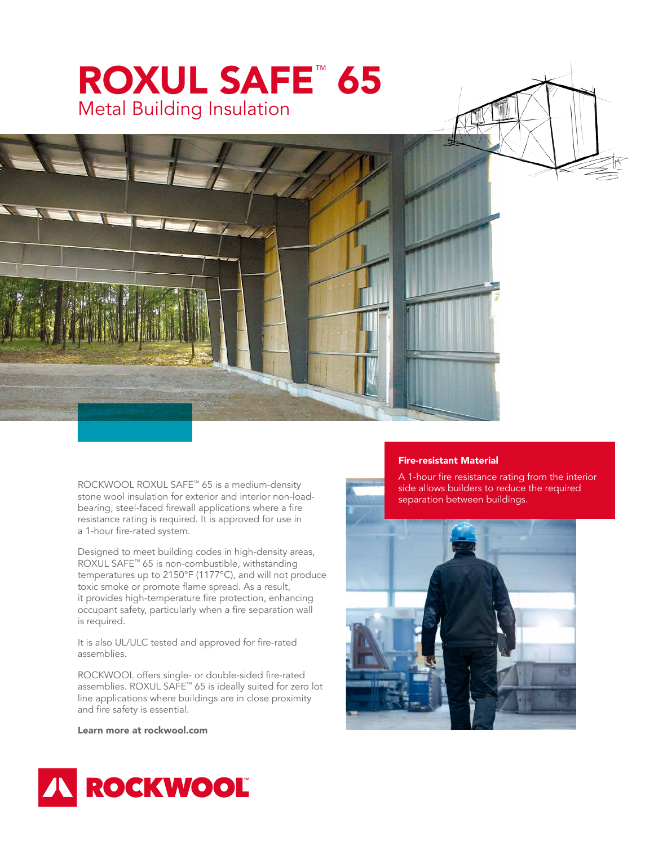

ROCKWOOL ROXUL SAFE™ 65 is a medium-density stone wool insulation for exterior and interior non-loadbearing, steel-faced firewall applications where a fire resistance rating is required. It is approved for use in a 1-hour fire-rated system.

Designed to meet building codes in high-density areas, ROXUL SAFE™ 65 is non-combustible, withstanding temperatures up to 2150°F (1177°C), and will not produce toxic smoke or promote flame spread. As a result, it provides high-temperature fire protection, enhancing occupant safety, particularly when a fire separation wall is required.

It is also UL/ULC tested and approved for fire-rated assemblies.

ROCKWOOL offers single- or double-sided fire-rated assemblies. ROXUL SAFE™ 65 is ideally suited for zero lot line applications where buildings are in close proximity and fire safety is essential.

Learn more at rockwool.com

## Fire-resistant Material

A 1-hour fire resistance rating from the interior side allows builders to reduce the required separation between buildings.